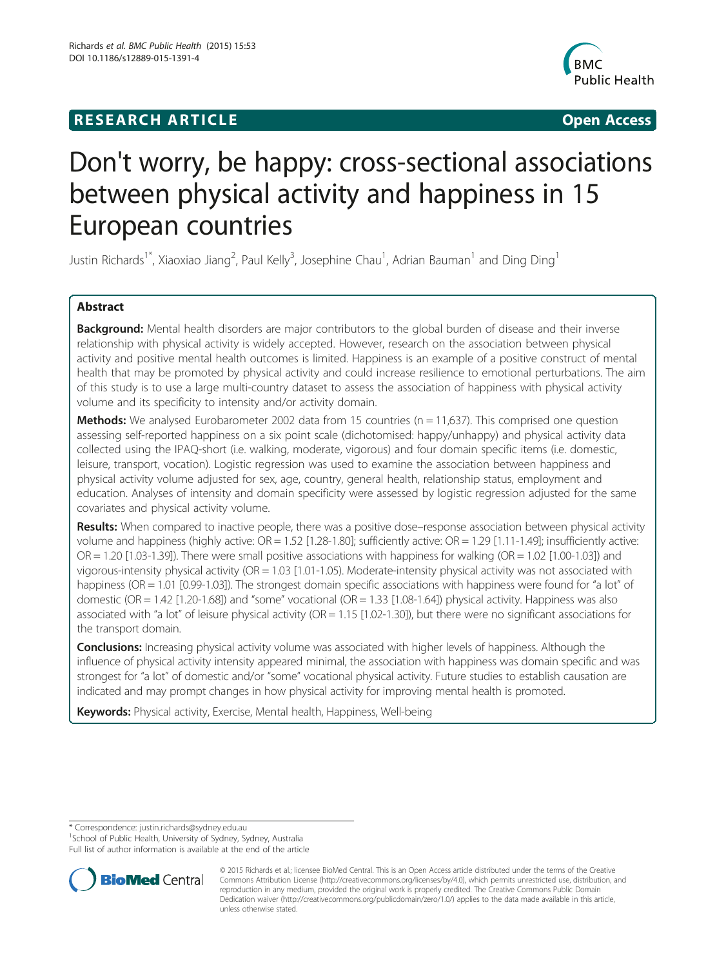## **RESEARCH ARTICLE Example 2014 12:30 The SEAR CHIPS 2014 12:30 The Open Access**



# Don't worry, be happy: cross-sectional associations between physical activity and happiness in 15 European countries

Justin Richards<sup>1\*</sup>, Xiaoxiao Jiang<sup>2</sup>, Paul Kelly<sup>3</sup>, Josephine Chau<sup>1</sup>, Adrian Bauman<sup>1</sup> and Ding Ding<sup>1</sup>

### Abstract

Background: Mental health disorders are major contributors to the global burden of disease and their inverse relationship with physical activity is widely accepted. However, research on the association between physical activity and positive mental health outcomes is limited. Happiness is an example of a positive construct of mental health that may be promoted by physical activity and could increase resilience to emotional perturbations. The aim of this study is to use a large multi-country dataset to assess the association of happiness with physical activity volume and its specificity to intensity and/or activity domain.

**Methods:** We analysed Eurobarometer 2002 data from 15 countries ( $n = 11,637$ ). This comprised one question assessing self-reported happiness on a six point scale (dichotomised: happy/unhappy) and physical activity data collected using the IPAQ-short (i.e. walking, moderate, vigorous) and four domain specific items (i.e. domestic, leisure, transport, vocation). Logistic regression was used to examine the association between happiness and physical activity volume adjusted for sex, age, country, general health, relationship status, employment and education. Analyses of intensity and domain specificity were assessed by logistic regression adjusted for the same covariates and physical activity volume.

Results: When compared to inactive people, there was a positive dose–response association between physical activity volume and happiness (highly active: OR = 1.52 [1.28-1.80]; sufficiently active: OR = 1.29 [1.11-1.49]; insufficiently active: OR = 1.20 [1.03-1.39]). There were small positive associations with happiness for walking (OR = 1.02 [1.00-1.03]) and vigorous-intensity physical activity (OR = 1.03 [1.01-1.05). Moderate-intensity physical activity was not associated with happiness (OR = 1.01 [0.99-1.03]). The strongest domain specific associations with happiness were found for "a lot" of domestic (OR = 1.42 [1.20-1.68]) and "some" vocational (OR = 1.33 [1.08-1.64]) physical activity. Happiness was also associated with "a lot" of leisure physical activity (OR = 1.15 [1.02-1.30]), but there were no significant associations for the transport domain.

**Conclusions:** Increasing physical activity volume was associated with higher levels of happiness. Although the influence of physical activity intensity appeared minimal, the association with happiness was domain specific and was strongest for "a lot" of domestic and/or "some" vocational physical activity. Future studies to establish causation are indicated and may prompt changes in how physical activity for improving mental health is promoted.

Keywords: Physical activity, Exercise, Mental health, Happiness, Well-being

\* Correspondence: [justin.richards@sydney.edu.au](mailto:justin.richards@sydney.edu.au) <sup>1</sup>

<sup>1</sup> School of Public Health, University of Sydney, Sydney, Australia

Full list of author information is available at the end of the article



<sup>© 2015</sup> Richards et al.; licensee BioMed Central. This is an Open Access article distributed under the terms of the Creative Commons Attribution License [\(http://creativecommons.org/licenses/by/4.0\)](http://creativecommons.org/licenses/by/4.0), which permits unrestricted use, distribution, and reproduction in any medium, provided the original work is properly credited. The Creative Commons Public Domain Dedication waiver [\(http://creativecommons.org/publicdomain/zero/1.0/](http://creativecommons.org/publicdomain/zero/1.0/)) applies to the data made available in this article, unless otherwise stated.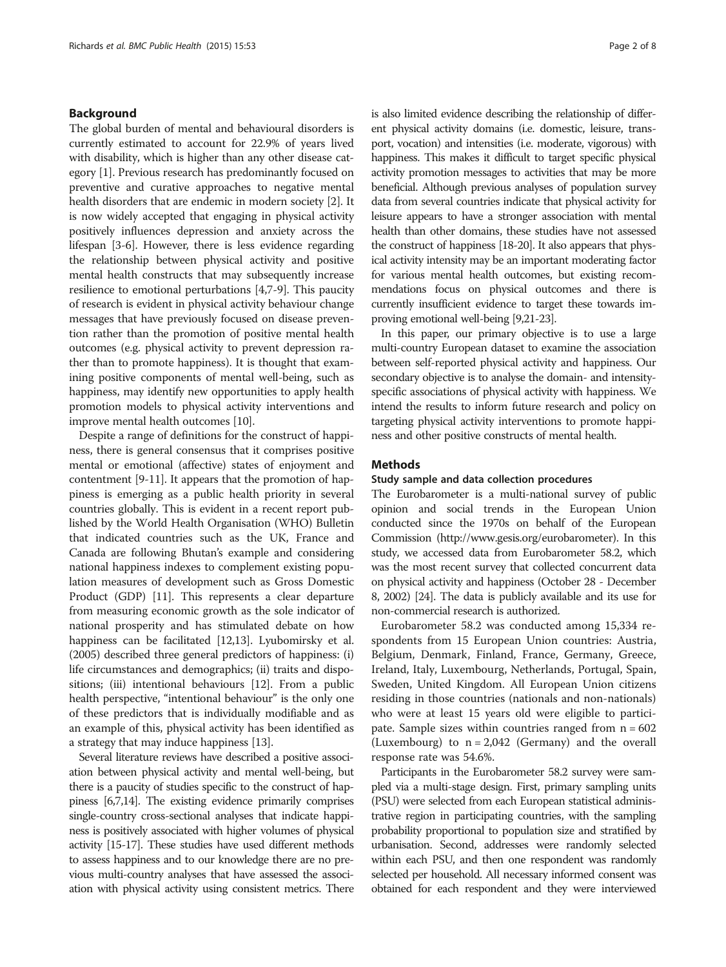#### Background

The global burden of mental and behavioural disorders is currently estimated to account for 22.9% of years lived with disability, which is higher than any other disease category [\[1](#page-6-0)]. Previous research has predominantly focused on preventive and curative approaches to negative mental health disorders that are endemic in modern society [\[2](#page-6-0)]. It is now widely accepted that engaging in physical activity positively influences depression and anxiety across the lifespan [[3-6\]](#page-6-0). However, there is less evidence regarding the relationship between physical activity and positive mental health constructs that may subsequently increase resilience to emotional perturbations [\[4,7-9](#page-6-0)]. This paucity of research is evident in physical activity behaviour change messages that have previously focused on disease prevention rather than the promotion of positive mental health outcomes (e.g. physical activity to prevent depression rather than to promote happiness). It is thought that examining positive components of mental well-being, such as happiness, may identify new opportunities to apply health promotion models to physical activity interventions and improve mental health outcomes [\[10\]](#page-6-0).

Despite a range of definitions for the construct of happiness, there is general consensus that it comprises positive mental or emotional (affective) states of enjoyment and contentment [[9-11\]](#page-6-0). It appears that the promotion of happiness is emerging as a public health priority in several countries globally. This is evident in a recent report published by the World Health Organisation (WHO) Bulletin that indicated countries such as the UK, France and Canada are following Bhutan's example and considering national happiness indexes to complement existing population measures of development such as Gross Domestic Product (GDP) [\[11\]](#page-6-0). This represents a clear departure from measuring economic growth as the sole indicator of national prosperity and has stimulated debate on how happiness can be facilitated [[12,13](#page-6-0)]. Lyubomirsky et al. (2005) described three general predictors of happiness: (i) life circumstances and demographics; (ii) traits and dispositions; (iii) intentional behaviours [\[12\]](#page-6-0). From a public health perspective, "intentional behaviour" is the only one of these predictors that is individually modifiable and as an example of this, physical activity has been identified as a strategy that may induce happiness [\[13](#page-6-0)].

Several literature reviews have described a positive association between physical activity and mental well-being, but there is a paucity of studies specific to the construct of happiness [\[6,7,14](#page-6-0)]. The existing evidence primarily comprises single-country cross-sectional analyses that indicate happiness is positively associated with higher volumes of physical activity [\[15-17](#page-6-0)]. These studies have used different methods to assess happiness and to our knowledge there are no previous multi-country analyses that have assessed the association with physical activity using consistent metrics. There is also limited evidence describing the relationship of different physical activity domains (i.e. domestic, leisure, transport, vocation) and intensities (i.e. moderate, vigorous) with happiness. This makes it difficult to target specific physical activity promotion messages to activities that may be more beneficial. Although previous analyses of population survey data from several countries indicate that physical activity for leisure appears to have a stronger association with mental health than other domains, these studies have not assessed the construct of happiness [\[18](#page-6-0)-[20](#page-6-0)]. It also appears that physical activity intensity may be an important moderating factor for various mental health outcomes, but existing recommendations focus on physical outcomes and there is currently insufficient evidence to target these towards improving emotional well-being [\[9,21](#page-6-0)[-23\]](#page-7-0).

In this paper, our primary objective is to use a large multi-country European dataset to examine the association between self-reported physical activity and happiness. Our secondary objective is to analyse the domain- and intensityspecific associations of physical activity with happiness. We intend the results to inform future research and policy on targeting physical activity interventions to promote happiness and other positive constructs of mental health.

#### **Methods**

#### Study sample and data collection procedures

The Eurobarometer is a multi-national survey of public opinion and social trends in the European Union conducted since the 1970s on behalf of the European Commission [\(http://www.gesis.org/eurobarometer\)](http://www.gesis.org/eurobarometer). In this study, we accessed data from Eurobarometer 58.2, which was the most recent survey that collected concurrent data on physical activity and happiness (October 28 - December 8, 2002) [\[24\]](#page-7-0). The data is publicly available and its use for non-commercial research is authorized.

Eurobarometer 58.2 was conducted among 15,334 respondents from 15 European Union countries: Austria, Belgium, Denmark, Finland, France, Germany, Greece, Ireland, Italy, Luxembourg, Netherlands, Portugal, Spain, Sweden, United Kingdom. All European Union citizens residing in those countries (nationals and non-nationals) who were at least 15 years old were eligible to participate. Sample sizes within countries ranged from  $n = 602$ (Luxembourg) to  $n = 2,042$  (Germany) and the overall response rate was 54.6%.

Participants in the Eurobarometer 58.2 survey were sampled via a multi-stage design. First, primary sampling units (PSU) were selected from each European statistical administrative region in participating countries, with the sampling probability proportional to population size and stratified by urbanisation. Second, addresses were randomly selected within each PSU, and then one respondent was randomly selected per household. All necessary informed consent was obtained for each respondent and they were interviewed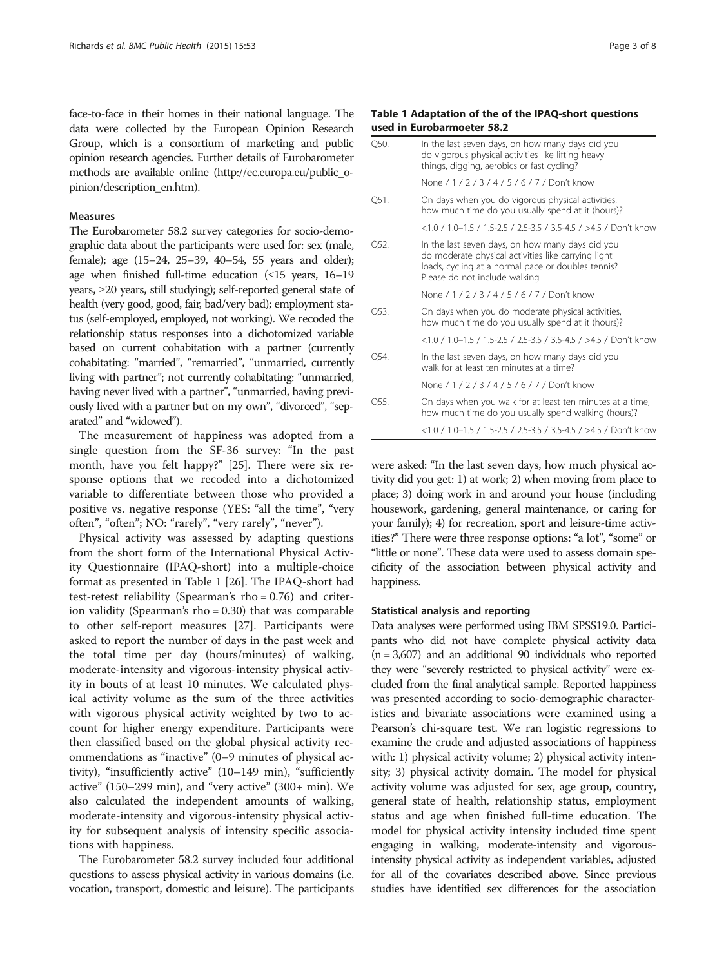face-to-face in their homes in their national language. The data were collected by the European Opinion Research Group, which is a consortium of marketing and public opinion research agencies. Further details of Eurobarometer methods are available online [\(http://ec.europa.eu/public\\_o](http://ec.europa.eu/public_opinion/description_en.htm)[pinion/description\\_en.htm](http://ec.europa.eu/public_opinion/description_en.htm)).

#### Measures

The Eurobarometer 58.2 survey categories for socio-demographic data about the participants were used for: sex (male, female); age (15–24, 25–39, 40–54, 55 years and older); age when finished full-time education  $(\leq 15$  years, 16–19 years, ≥20 years, still studying); self-reported general state of health (very good, good, fair, bad/very bad); employment status (self-employed, employed, not working). We recoded the relationship status responses into a dichotomized variable based on current cohabitation with a partner (currently cohabitating: "married", "remarried", "unmarried, currently living with partner"; not currently cohabitating: "unmarried, having never lived with a partner", "unmarried, having previously lived with a partner but on my own", "divorced", "separated" and "widowed").

The measurement of happiness was adopted from a single question from the SF-36 survey: "In the past month, have you felt happy?" [[25](#page-7-0)]. There were six response options that we recoded into a dichotomized variable to differentiate between those who provided a positive vs. negative response (YES: "all the time", "very often", "often"; NO: "rarely", "very rarely", "never").

Physical activity was assessed by adapting questions from the short form of the International Physical Activity Questionnaire (IPAQ-short) into a multiple-choice format as presented in Table 1 [[26\]](#page-7-0). The IPAQ-short had test-retest reliability (Spearman's rho = 0.76) and criterion validity (Spearman's rho = 0.30) that was comparable to other self-report measures [\[27](#page-7-0)]. Participants were asked to report the number of days in the past week and the total time per day (hours/minutes) of walking, moderate-intensity and vigorous-intensity physical activity in bouts of at least 10 minutes. We calculated physical activity volume as the sum of the three activities with vigorous physical activity weighted by two to account for higher energy expenditure. Participants were then classified based on the global physical activity recommendations as "inactive" (0–9 minutes of physical activity), "insufficiently active" (10–149 min), "sufficiently active" (150–299 min), and "very active" (300+ min). We also calculated the independent amounts of walking, moderate-intensity and vigorous-intensity physical activity for subsequent analysis of intensity specific associations with happiness.

The Eurobarometer 58.2 survey included four additional questions to assess physical activity in various domains (i.e. vocation, transport, domestic and leisure). The participants

#### Table 1 Adaptation of the of the IPAQ-short questions used in Eurobarmoeter 58.2

| Q50. | In the last seven days, on how many days did you<br>do vigorous physical activities like lifting heavy<br>things, digging, aerobics or fast cycling?                                            |
|------|-------------------------------------------------------------------------------------------------------------------------------------------------------------------------------------------------|
|      | None / 1 / 2 / 3 / 4 / 5 / 6 / 7 / Don't know                                                                                                                                                   |
| O51. | On days when you do vigorous physical activities,<br>how much time do you usually spend at it (hours)?                                                                                          |
|      | <1.0 / 1.0-1.5 / 1.5-2.5 / 2.5-3.5 / 3.5-4.5 / >4.5 / Don't know                                                                                                                                |
| O52. | In the last seven days, on how many days did you<br>do moderate physical activities like carrying light<br>loads, cycling at a normal pace or doubles tennis?<br>Please do not include walking. |
|      | None / 1 / 2 / 3 / 4 / 5 / 6 / 7 / Don't know                                                                                                                                                   |
| O53. | On days when you do moderate physical activities,<br>how much time do you usually spend at it (hours)?                                                                                          |
|      | <1.0 / 1.0–1.5 / 1.5-2.5 / 2.5-3.5 / 3.5-4.5 / >4.5 / Don't know                                                                                                                                |
| Q54. | In the last seven days, on how many days did you<br>walk for at least ten minutes at a time?                                                                                                    |
|      | None / 1 / 2 / 3 / 4 / 5 / 6 / 7 / Don't know                                                                                                                                                   |
| O55. | On days when you walk for at least ten minutes at a time,<br>how much time do you usually spend walking (hours)?                                                                                |
|      | <1.0 / 1.0-1.5 / 1.5-2.5 / 2.5-3.5 / 3.5-4.5 / >4.5 / Don't know                                                                                                                                |

were asked: "In the last seven days, how much physical activity did you get: 1) at work; 2) when moving from place to place; 3) doing work in and around your house (including housework, gardening, general maintenance, or caring for your family); 4) for recreation, sport and leisure-time activities?" There were three response options: "a lot", "some" or "little or none". These data were used to assess domain specificity of the association between physical activity and happiness.

#### Statistical analysis and reporting

Data analyses were performed using IBM SPSS19.0. Participants who did not have complete physical activity data  $(n = 3,607)$  and an additional 90 individuals who reported they were "severely restricted to physical activity" were excluded from the final analytical sample. Reported happiness was presented according to socio-demographic characteristics and bivariate associations were examined using a Pearson's chi-square test. We ran logistic regressions to examine the crude and adjusted associations of happiness with: 1) physical activity volume; 2) physical activity intensity; 3) physical activity domain. The model for physical activity volume was adjusted for sex, age group, country, general state of health, relationship status, employment status and age when finished full-time education. The model for physical activity intensity included time spent engaging in walking, moderate-intensity and vigorousintensity physical activity as independent variables, adjusted for all of the covariates described above. Since previous studies have identified sex differences for the association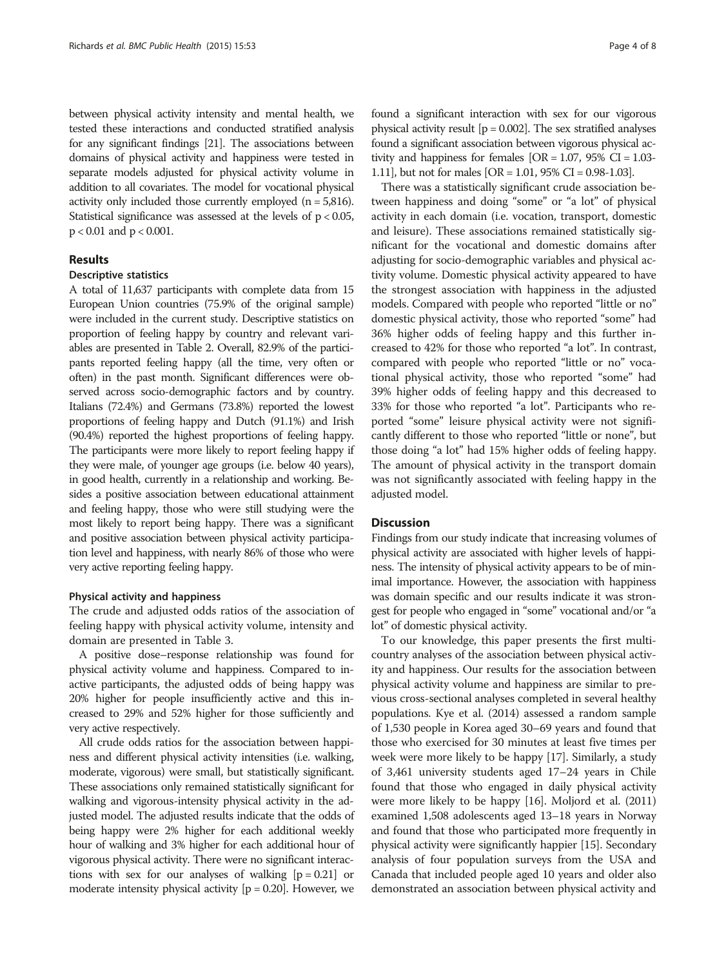between physical activity intensity and mental health, we tested these interactions and conducted stratified analysis for any significant findings [\[21\]](#page-6-0). The associations between domains of physical activity and happiness were tested in separate models adjusted for physical activity volume in addition to all covariates. The model for vocational physical activity only included those currently employed  $(n = 5,816)$ . Statistical significance was assessed at the levels of p < 0.05, p < 0.01 and p < 0.001.

#### Results

#### Descriptive statistics

A total of 11,637 participants with complete data from 15 European Union countries (75.9% of the original sample) were included in the current study. Descriptive statistics on proportion of feeling happy by country and relevant variables are presented in Table [2](#page-4-0). Overall, 82.9% of the participants reported feeling happy (all the time, very often or often) in the past month. Significant differences were observed across socio-demographic factors and by country. Italians (72.4%) and Germans (73.8%) reported the lowest proportions of feeling happy and Dutch (91.1%) and Irish (90.4%) reported the highest proportions of feeling happy. The participants were more likely to report feeling happy if they were male, of younger age groups (i.e. below 40 years), in good health, currently in a relationship and working. Besides a positive association between educational attainment and feeling happy, those who were still studying were the most likely to report being happy. There was a significant and positive association between physical activity participation level and happiness, with nearly 86% of those who were very active reporting feeling happy.

#### Physical activity and happiness

The crude and adjusted odds ratios of the association of feeling happy with physical activity volume, intensity and domain are presented in Table [3](#page-5-0).

A positive dose–response relationship was found for physical activity volume and happiness. Compared to inactive participants, the adjusted odds of being happy was 20% higher for people insufficiently active and this increased to 29% and 52% higher for those sufficiently and very active respectively.

All crude odds ratios for the association between happiness and different physical activity intensities (i.e. walking, moderate, vigorous) were small, but statistically significant. These associations only remained statistically significant for walking and vigorous-intensity physical activity in the adjusted model. The adjusted results indicate that the odds of being happy were 2% higher for each additional weekly hour of walking and 3% higher for each additional hour of vigorous physical activity. There were no significant interactions with sex for our analyses of walking  $[p = 0.21]$  or moderate intensity physical activity  $[p = 0.20]$ . However, we

found a significant interaction with sex for our vigorous physical activity result  $[p = 0.002]$ . The sex stratified analyses found a significant association between vigorous physical activity and happiness for females  $[OR = 1.07, 95\% \text{ CI} = 1.03$ -1.11], but not for males [OR = 1.01, 95% CI = 0.98-1.03].

There was a statistically significant crude association between happiness and doing "some" or "a lot" of physical activity in each domain (i.e. vocation, transport, domestic and leisure). These associations remained statistically significant for the vocational and domestic domains after adjusting for socio-demographic variables and physical activity volume. Domestic physical activity appeared to have the strongest association with happiness in the adjusted models. Compared with people who reported "little or no" domestic physical activity, those who reported "some" had 36% higher odds of feeling happy and this further increased to 42% for those who reported "a lot". In contrast, compared with people who reported "little or no" vocational physical activity, those who reported "some" had 39% higher odds of feeling happy and this decreased to 33% for those who reported "a lot". Participants who reported "some" leisure physical activity were not significantly different to those who reported "little or none", but those doing "a lot" had 15% higher odds of feeling happy. The amount of physical activity in the transport domain was not significantly associated with feeling happy in the adjusted model.

#### **Discussion**

Findings from our study indicate that increasing volumes of physical activity are associated with higher levels of happiness. The intensity of physical activity appears to be of minimal importance. However, the association with happiness was domain specific and our results indicate it was strongest for people who engaged in "some" vocational and/or "a lot" of domestic physical activity.

To our knowledge, this paper presents the first multicountry analyses of the association between physical activity and happiness. Our results for the association between physical activity volume and happiness are similar to previous cross-sectional analyses completed in several healthy populations. Kye et al. (2014) assessed a random sample of 1,530 people in Korea aged 30–69 years and found that those who exercised for 30 minutes at least five times per week were more likely to be happy [[17](#page-6-0)]. Similarly, a study of 3,461 university students aged 17–24 years in Chile found that those who engaged in daily physical activity were more likely to be happy [[16](#page-6-0)]. Moljord et al. (2011) examined 1,508 adolescents aged 13–18 years in Norway and found that those who participated more frequently in physical activity were significantly happier [\[15](#page-6-0)]. Secondary analysis of four population surveys from the USA and Canada that included people aged 10 years and older also demonstrated an association between physical activity and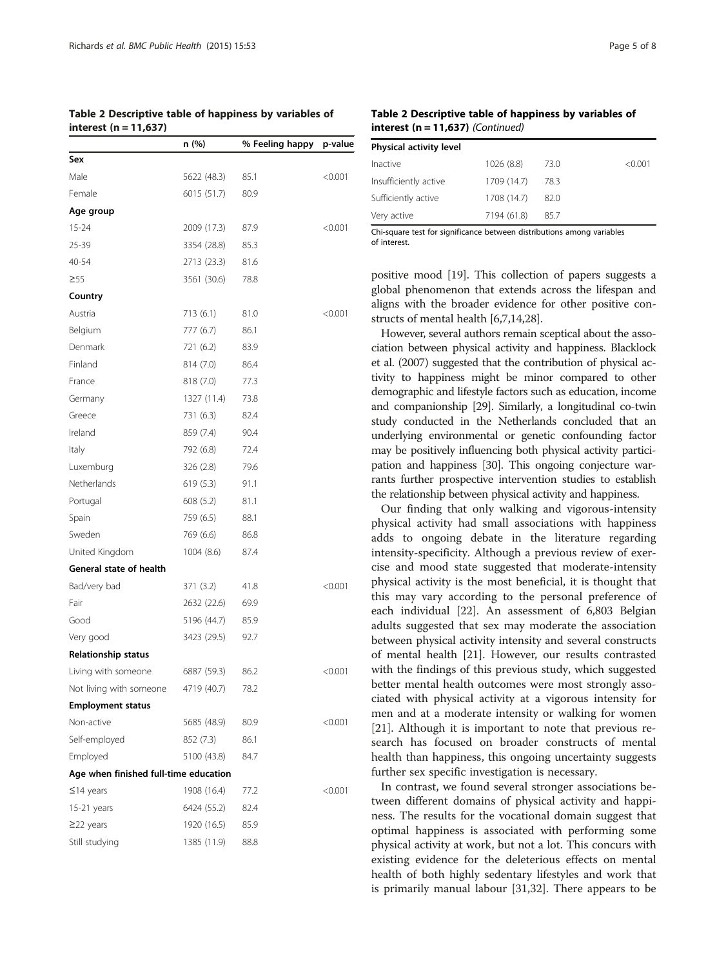<span id="page-4-0"></span>Table 2 Descriptive table of happiness by variables of interest (n = 11,637)

|                                       | n (%)       | % Feeling happy | p-value |
|---------------------------------------|-------------|-----------------|---------|
| Sex                                   |             |                 |         |
| Male                                  | 5622 (48.3) | 85.1            | < 0.001 |
| Female                                | 6015 (51.7) | 80.9            |         |
| Age group                             |             |                 |         |
| $15 - 24$                             | 2009 (17.3) | 87.9            | < 0.001 |
| 25-39                                 | 3354 (28.8) | 85.3            |         |
| 40-54                                 | 2713 (23.3) | 81.6            |         |
| $\geq 55$                             | 3561 (30.6) | 78.8            |         |
| Country                               |             |                 |         |
| Austria                               | 713 (6.1)   | 81.0            | < 0.001 |
| Belgium                               | 777 (6.7)   | 86.1            |         |
| Denmark                               | 721 (6.2)   | 83.9            |         |
| Finland                               | 814 (7.0)   | 86.4            |         |
| France                                | 818 (7.0)   | 77.3            |         |
| Germany                               | 1327 (11.4) | 73.8            |         |
| Greece                                | 731 (6.3)   | 82.4            |         |
| Ireland                               | 859 (7.4)   | 90.4            |         |
| Italy                                 | 792 (6.8)   | 72.4            |         |
| Luxemburg                             | 326 (2.8)   | 79.6            |         |
| Netherlands                           | 619 (5.3)   | 91.1            |         |
| Portugal                              | 608 (5.2)   | 81.1            |         |
| Spain                                 | 759 (6.5)   | 88.1            |         |
| Sweden                                | 769 (6.6)   | 86.8            |         |
| United Kingdom                        | 1004(8.6)   | 87.4            |         |
| General state of health               |             |                 |         |
| Bad/very bad                          | 371 (3.2)   | 41.8            | < 0.001 |
| Fair                                  | 2632 (22.6) | 69.9            |         |
| Good                                  | 5196 (44.7) | 85.9            |         |
| Very good                             | 3423 (29.5) | 92.7            |         |
| Relationship status                   |             |                 |         |
| Living with someone                   | 6887 (59.3) | 86.2            | < 0.001 |
| Not living with someone 4719 (40.7)   |             | 78.2            |         |
| <b>Employment status</b>              |             |                 |         |
| Non-active                            | 5685 (48.9) | 80.9            | < 0.001 |
| Self-employed                         | 852 (7.3)   | 86.1            |         |
| Employed                              | 5100 (43.8) | 84.7            |         |
| Age when finished full-time education |             |                 |         |
| $≤14$ years                           | 1908 (16.4) | 77.2            | < 0.001 |
| 15-21 years                           | 6424 (55.2) | 82.4            |         |
| $\geq$ 22 years                       | 1920 (16.5) | 85.9            |         |
| Still studying                        | 1385 (11.9) | 88.8            |         |

Table 2 Descriptive table of happiness by variables of interest  $(n = 11.637)$  (Continued)

| Physical activity level |             |      |         |
|-------------------------|-------------|------|---------|
| Inactive                | 1026 (8.8)  | 73.0 | < 0.001 |
| Insufficiently active   | 1709 (14.7) | 78.3 |         |
| Sufficiently active     | 1708 (14.7) | 82.0 |         |
| Very active             | 7194 (61.8) | 85.7 |         |
|                         |             |      |         |

Chi-square test for significance between distributions among variables of interest.

positive mood [\[19\]](#page-6-0). This collection of papers suggests a global phenomenon that extends across the lifespan and aligns with the broader evidence for other positive constructs of mental health [\[6,7,14,](#page-6-0)[28](#page-7-0)].

However, several authors remain sceptical about the association between physical activity and happiness. Blacklock et al. (2007) suggested that the contribution of physical activity to happiness might be minor compared to other demographic and lifestyle factors such as education, income and companionship [[29](#page-7-0)]. Similarly, a longitudinal co-twin study conducted in the Netherlands concluded that an underlying environmental or genetic confounding factor may be positively influencing both physical activity participation and happiness [[30](#page-7-0)]. This ongoing conjecture warrants further prospective intervention studies to establish the relationship between physical activity and happiness.

Our finding that only walking and vigorous-intensity physical activity had small associations with happiness adds to ongoing debate in the literature regarding intensity-specificity. Although a previous review of exercise and mood state suggested that moderate-intensity physical activity is the most beneficial, it is thought that this may vary according to the personal preference of each individual [\[22\]](#page-7-0). An assessment of 6,803 Belgian adults suggested that sex may moderate the association between physical activity intensity and several constructs of mental health [\[21\]](#page-6-0). However, our results contrasted with the findings of this previous study, which suggested better mental health outcomes were most strongly associated with physical activity at a vigorous intensity for men and at a moderate intensity or walking for women [[21\]](#page-6-0). Although it is important to note that previous research has focused on broader constructs of mental health than happiness, this ongoing uncertainty suggests further sex specific investigation is necessary.

In contrast, we found several stronger associations between different domains of physical activity and happiness. The results for the vocational domain suggest that optimal happiness is associated with performing some physical activity at work, but not a lot. This concurs with existing evidence for the deleterious effects on mental health of both highly sedentary lifestyles and work that is primarily manual labour [\[31,32\]](#page-7-0). There appears to be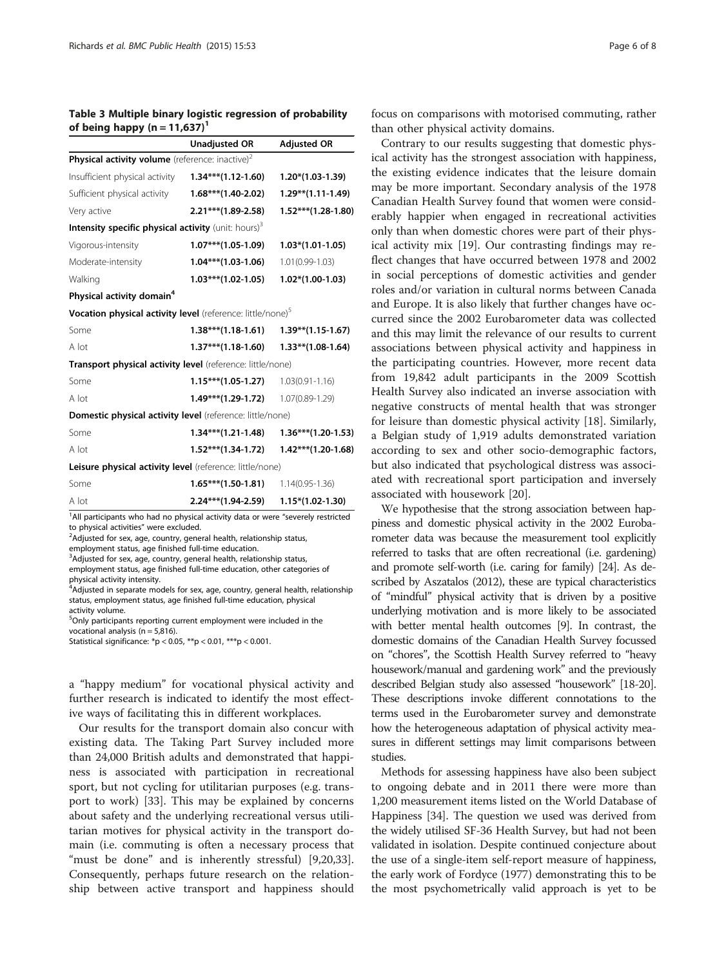<span id="page-5-0"></span>Table 3 Multiple binary logistic regression of probability of being happy  $(n = 11,637)^T$ 

|                                                                                              | <b>Unadjusted OR</b>  | <b>Adjusted OR</b>    |  |  |  |  |
|----------------------------------------------------------------------------------------------|-----------------------|-----------------------|--|--|--|--|
| Physical activity volume (reference: inactive) <sup>2</sup>                                  |                       |                       |  |  |  |  |
| Insufficient physical activity 1.34*** (1.12-1.60)                                           |                       | $1.20*(1.03-1.39)$    |  |  |  |  |
| Sufficient physical activity 1.68*** (1.40-2.02)                                             |                       | $1.29**$ (1.11-1.49)  |  |  |  |  |
| Very active                                                                                  | $2.21***$ (1.89-2.58) | $1.52***$ (1.28-1.80) |  |  |  |  |
| Intensity specific physical activity (unit: hours) <sup>3</sup>                              |                       |                       |  |  |  |  |
| Vigorous-intensity                                                                           | $1.07***$ (1.05-1.09) | $1.03*(1.01-1.05)$    |  |  |  |  |
| Moderate-intensity                                                                           | $1.04***$ (1.03-1.06) | 1.01(0.99-1.03)       |  |  |  |  |
| Walking                                                                                      | $1.03***$ (1.02-1.05) | $1.02*(1.00-1.03)$    |  |  |  |  |
| Physical activity domain <sup>4</sup>                                                        |                       |                       |  |  |  |  |
| Vocation physical activity level (reference: little/none) <sup>5</sup>                       |                       |                       |  |  |  |  |
| Some                                                                                         | $1.38***(1.18-1.61)$  | $1.39**$ (1.15-1.67)  |  |  |  |  |
| A lot                                                                                        | $1.37***$ (1.18-1.60) | $1.33**$ (1.08-1.64)  |  |  |  |  |
| Transport physical activity level (reference: little/none)                                   |                       |                       |  |  |  |  |
| Some                                                                                         | $1.15***(1.05-1.27)$  | $1.03(0.91 - 1.16)$   |  |  |  |  |
| A lot                                                                                        | $1.49***$ (1.29-1.72) | 1.07(0.89-1.29)       |  |  |  |  |
| Domestic physical activity level (reference: little/none)                                    |                       |                       |  |  |  |  |
| Some                                                                                         | $1.34***(1.21-1.48)$  | $1.36***(1.20-1.53)$  |  |  |  |  |
| A lot                                                                                        | $1.52***$ (1.34-1.72) | $1.42***$ (1.20-1.68) |  |  |  |  |
| Leisure physical activity level (reference: little/none)                                     |                       |                       |  |  |  |  |
| Some                                                                                         | $1.65***$ (1.50-1.81) | $1.14(0.95 - 1.36)$   |  |  |  |  |
| A lot<br>$1$ all participants who had no physical activity data or were "severely restricted | $2.24***$ (1.94-2.59) | $1.15*(1.02-1.30)$    |  |  |  |  |

ts who had no physical activity data or were "severely restricted to physical activities" were excluded. <sup>2</sup>

<sup>2</sup>Adjusted for sex, age, country, general health, relationship status,

employment status, age finished full-time education.

<sup>3</sup> Adjusted for sex, age, country, general health, relationship status, employment status, age finished full-time education, other categories of physical activity intensity.

<sup>4</sup> Adjusted in separate models for sex, age, country, general health, relationship status, employment status, age finished full-time education, physical activity volume.

<sup>5</sup>Only participants reporting current employment were included in the vocational analysis ( $n = 5,816$ ).

Statistical significance: \*p < 0.05, \*\*p < 0.01, \*\*\*p < 0.001.

a "happy medium" for vocational physical activity and further research is indicated to identify the most effective ways of facilitating this in different workplaces.

Our results for the transport domain also concur with existing data. The Taking Part Survey included more than 24,000 British adults and demonstrated that happiness is associated with participation in recreational sport, but not cycling for utilitarian purposes (e.g. transport to work) [\[33](#page-7-0)]. This may be explained by concerns about safety and the underlying recreational versus utilitarian motives for physical activity in the transport domain (i.e. commuting is often a necessary process that "must be done" and is inherently stressful) [\[9,20](#page-6-0)[,33](#page-7-0)]. Consequently, perhaps future research on the relationship between active transport and happiness should focus on comparisons with motorised commuting, rather than other physical activity domains.

Contrary to our results suggesting that domestic physical activity has the strongest association with happiness, the existing evidence indicates that the leisure domain may be more important. Secondary analysis of the 1978 Canadian Health Survey found that women were considerably happier when engaged in recreational activities only than when domestic chores were part of their physical activity mix [[19\]](#page-6-0). Our contrasting findings may reflect changes that have occurred between 1978 and 2002 in social perceptions of domestic activities and gender roles and/or variation in cultural norms between Canada and Europe. It is also likely that further changes have occurred since the 2002 Eurobarometer data was collected and this may limit the relevance of our results to current associations between physical activity and happiness in the participating countries. However, more recent data from 19,842 adult participants in the 2009 Scottish Health Survey also indicated an inverse association with negative constructs of mental health that was stronger for leisure than domestic physical activity [\[18](#page-6-0)]. Similarly, a Belgian study of 1,919 adults demonstrated variation according to sex and other socio-demographic factors, but also indicated that psychological distress was associated with recreational sport participation and inversely associated with housework [\[20](#page-6-0)].

We hypothesise that the strong association between happiness and domestic physical activity in the 2002 Eurobarometer data was because the measurement tool explicitly referred to tasks that are often recreational (i.e. gardening) and promote self-worth (i.e. caring for family) [\[24](#page-7-0)]. As described by Aszatalos (2012), these are typical characteristics of "mindful" physical activity that is driven by a positive underlying motivation and is more likely to be associated with better mental health outcomes [\[9\]](#page-6-0). In contrast, the domestic domains of the Canadian Health Survey focussed on "chores", the Scottish Health Survey referred to "heavy housework/manual and gardening work" and the previously described Belgian study also assessed "housework" [[18-20](#page-6-0)]. These descriptions invoke different connotations to the terms used in the Eurobarometer survey and demonstrate how the heterogeneous adaptation of physical activity measures in different settings may limit comparisons between studies.

Methods for assessing happiness have also been subject to ongoing debate and in 2011 there were more than 1,200 measurement items listed on the World Database of Happiness [\[34\]](#page-7-0). The question we used was derived from the widely utilised SF-36 Health Survey, but had not been validated in isolation. Despite continued conjecture about the use of a single-item self-report measure of happiness, the early work of Fordyce (1977) demonstrating this to be the most psychometrically valid approach is yet to be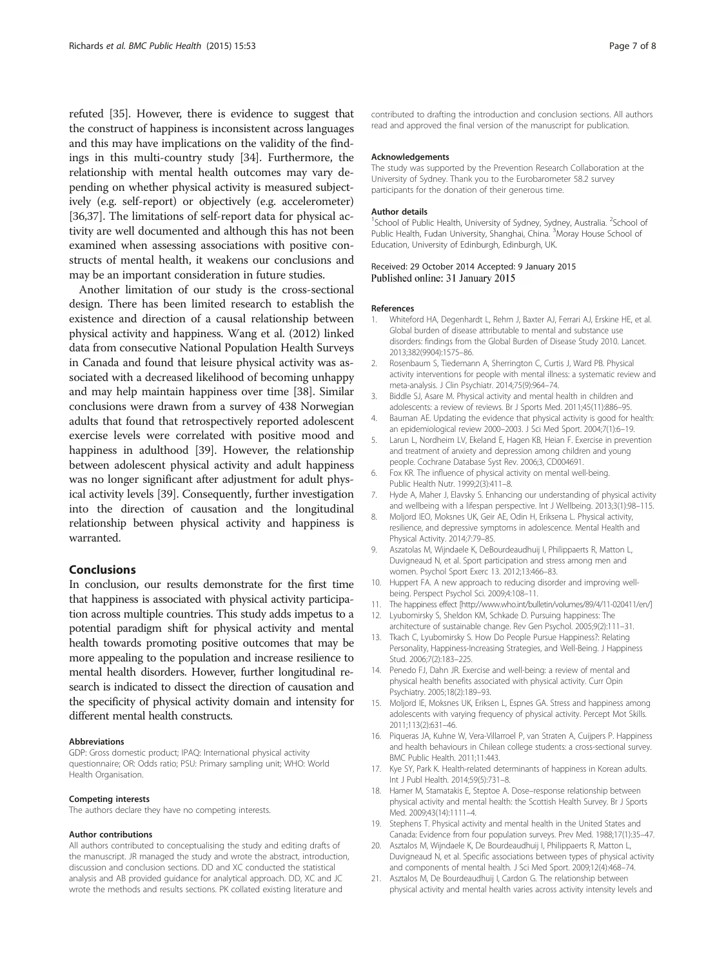<span id="page-6-0"></span>refuted [[35](#page-7-0)]. However, there is evidence to suggest that the construct of happiness is inconsistent across languages and this may have implications on the validity of the findings in this multi-country study [\[34\]](#page-7-0). Furthermore, the relationship with mental health outcomes may vary depending on whether physical activity is measured subjectively (e.g. self-report) or objectively (e.g. accelerometer) [[36,37](#page-7-0)]. The limitations of self-report data for physical activity are well documented and although this has not been examined when assessing associations with positive constructs of mental health, it weakens our conclusions and may be an important consideration in future studies.

Another limitation of our study is the cross-sectional design. There has been limited research to establish the existence and direction of a causal relationship between physical activity and happiness. Wang et al. (2012) linked data from consecutive National Population Health Surveys in Canada and found that leisure physical activity was associated with a decreased likelihood of becoming unhappy and may help maintain happiness over time [[38](#page-7-0)]. Similar conclusions were drawn from a survey of 438 Norwegian adults that found that retrospectively reported adolescent exercise levels were correlated with positive mood and happiness in adulthood [\[39\]](#page-7-0). However, the relationship between adolescent physical activity and adult happiness was no longer significant after adjustment for adult physical activity levels [\[39\]](#page-7-0). Consequently, further investigation into the direction of causation and the longitudinal relationship between physical activity and happiness is warranted.

#### Conclusions

In conclusion, our results demonstrate for the first time that happiness is associated with physical activity participation across multiple countries. This study adds impetus to a potential paradigm shift for physical activity and mental health towards promoting positive outcomes that may be more appealing to the population and increase resilience to mental health disorders. However, further longitudinal research is indicated to dissect the direction of causation and the specificity of physical activity domain and intensity for different mental health constructs.

#### Abbreviations

GDP: Gross domestic product; IPAQ: International physical activity questionnaire; OR: Odds ratio; PSU: Primary sampling unit; WHO: World Health Organisation.

#### Competing interests

The authors declare they have no competing interests.

#### Author contributions

All authors contributed to conceptualising the study and editing drafts of the manuscript. JR managed the study and wrote the abstract, introduction, discussion and conclusion sections. DD and XC conducted the statistical analysis and AB provided guidance for analytical approach. DD, XC and JC wrote the methods and results sections. PK collated existing literature and

contributed to drafting the introduction and conclusion sections. All authors read and approved the final version of the manuscript for publication.

#### Acknowledgements

The study was supported by the Prevention Research Collaboration at the University of Sydney. Thank you to the Eurobarometer 58.2 survey participants for the donation of their generous time.

#### Author details

<sup>1</sup>School of Public Health, University of Sydney, Sydney, Australia. <sup>2</sup>School of Public Health, Fudan University, Shanghai, China. <sup>3</sup>Moray House School of Education, University of Edinburgh, Edinburgh, UK.

#### Received: 29 October 2014 Accepted: 9 January 2015 Published online: 31 January 2015

#### References

- 1. Whiteford HA, Degenhardt L, Rehm J, Baxter AJ, Ferrari AJ, Erskine HE, et al. Global burden of disease attributable to mental and substance use disorders: findings from the Global Burden of Disease Study 2010. Lancet. 2013;382(9904):1575–86.
- 2. Rosenbaum S, Tiedemann A, Sherrington C, Curtis J, Ward PB. Physical activity interventions for people with mental illness: a systematic review and meta-analysis. J Clin Psychiatr. 2014;75(9):964–74.
- 3. Biddle SJ, Asare M. Physical activity and mental health in children and adolescents: a review of reviews. Br J Sports Med. 2011;45(11):886–95.
- 4. Bauman AE. Updating the evidence that physical activity is good for health: an epidemiological review 2000–2003. J Sci Med Sport. 2004;7(1):6–19.
- 5. Larun L, Nordheim LV, Ekeland E, Hagen KB, Heian F. Exercise in prevention and treatment of anxiety and depression among children and young people. Cochrane Database Syst Rev. 2006;3, CD004691.
- 6. Fox KR. The influence of physical activity on mental well-being. Public Health Nutr. 1999;2(3):411–8.
- 7. Hyde A, Maher J, Elavsky S. Enhancing our understanding of physical activity and wellbeing with a lifespan perspective. Int J Wellbeing. 2013;3(1):98–115.
- 8. Moljord IEO, Moksnes UK, Geir AE, Odin H, Eriksena L. Physical activity, resilience, and depressive symptoms in adolescence. Mental Health and Physical Activity. 2014;7:79–85.
- 9. Aszatolas M, Wijndaele K, DeBourdeaudhuij I, Philippaerts R, Matton L, Duvigneaud N, et al. Sport participation and stress among men and women. Psychol Sport Exerc 13. 2012;13:466–83.
- 10. Huppert FA. A new approach to reducing disorder and improving wellbeing. Perspect Psychol Sci. 2009;4:108–11.
- 11. The happiness effect [<http://www.who.int/bulletin/volumes/89/4/11-020411/en/>]
- 12. Lyubomirsky S, Sheldon KM, Schkade D. Pursuing happiness: The architecture of sustainable change. Rev Gen Psychol. 2005;9(2):111–31.
- 13. Tkach C, Lyubomirsky S. How Do People Pursue Happiness?: Relating Personality, Happiness-Increasing Strategies, and Well-Being. J Happiness Stud. 2006;7(2):183–225.
- 14. Penedo FJ, Dahn JR. Exercise and well-being: a review of mental and physical health benefits associated with physical activity. Curr Opin Psychiatry. 2005;18(2):189–93.
- 15. Moljord IE, Moksnes UK, Eriksen L, Espnes GA. Stress and happiness among adolescents with varying frequency of physical activity. Percept Mot Skills. 2011;113(2):631–46.
- 16. Piqueras JA, Kuhne W, Vera-Villarroel P, van Straten A, Cuijpers P. Happiness and health behaviours in Chilean college students: a cross-sectional survey. BMC Public Health. 2011;11:443.
- 17. Kye SY, Park K. Health-related determinants of happiness in Korean adults. Int J Publ Health. 2014;59(5):731–8.
- 18. Hamer M, Stamatakis E, Steptoe A. Dose–response relationship between physical activity and mental health: the Scottish Health Survey. Br J Sports Med. 2009;43(14):1111–4.
- 19. Stephens T. Physical activity and mental health in the United States and Canada: Evidence from four population surveys. Prev Med. 1988;17(1):35–47.
- 20. Asztalos M, Wijndaele K, De Bourdeaudhuij I, Philippaerts R, Matton L, Duvigneaud N, et al. Specific associations between types of physical activity and components of mental health. J Sci Med Sport. 2009;12(4):468–74.
- 21. Asztalos M, De Bourdeaudhuij I, Cardon G. The relationship between physical activity and mental health varies across activity intensity levels and